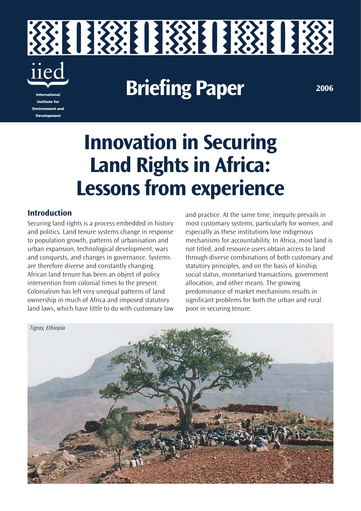

**Innovation in Securing Land Rights in Africa: Lessons from experience**

### **Introduction**

**Environment and Development** 

Securing land rights is a process embedded in history and politics. Land tenure systems change in response to population growth, patterns of urbanisation and urban expansion, technological development, wars and conquests, and changes in governance. Systems are therefore diverse and constantly changing. African land tenure has been an object of policy intervention from colonial times to the present. Colonialism has left very unequal patterns of land ownership in much of Africa and imposed statutory land laws, which have little to do with customary law and practice. At the same time, inequity prevails in most customary systems, particularly for women, and especially as these institutions lose indigenous mechanisms for accountability. In Africa, most land is not titled, and resource users obtain access to land through diverse combinations of both customary and statutory principles, and on the basis of kinship, social status, monetarised transactions, government allocation, and other means. The growing predominance of market mechanisms results in significant problems for both the urban and rural poor in securing tenure.

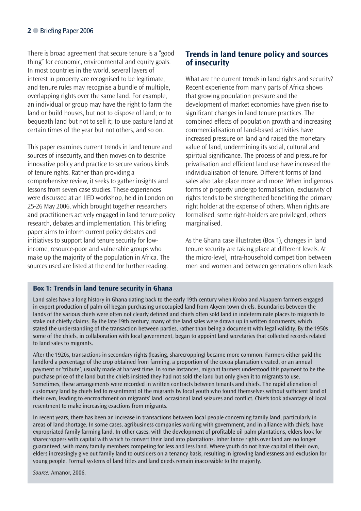There is broad agreement that secure tenure is a "good thing" for economic, environmental and equity goals. In most countries in the world, several layers of interest in property are recognised to be legitimate, and tenure rules may recognise a bundle of multiple, overlapping rights over the same land. For example, an individual or group may have the right to farm the land or build houses, but not to dispose of land; or to bequeath land but not to sell it; to use pasture land at certain times of the year but not others, and so on.

This paper examines current trends in land tenure and sources of insecurity, and then moves on to describe innovative policy and practice to secure various kinds of tenure rights. Rather than providing a comprehensive review, it seeks to gather insights and lessons from seven case studies. These experiences were discussed at an IIED workshop, held in London on 25-26 May 2006, which brought together researchers and practitioners actively engaged in land tenure policy research, debates and implementation. This briefing paper aims to inform current policy debates and initiatives to support land tenure security for lowincome, resource-poor and vulnerable groups who make up the majority of the population in Africa. The sources used are listed at the end for further reading.

# **Trends in land tenure policy and sources of insecurity**

What are the current trends in land rights and security? Recent experience from many parts of Africa shows that growing population pressure and the development of market economies have given rise to significant changes in land tenure practices. The combined effects of population growth and increasing commercialisation of land-based activities have increased pressure on land and raised the monetary value of land, undermining its social, cultural and spiritual significance. The process of and pressure for privatisation and efficient land use have increased the individualisation of tenure. Different forms of land sales also take place more and more. When indigenous forms of property undergo formalisation, exclusivity of rights tends to be strengthened benefiting the primary right holder at the expense of others. When rights are formalised, some right-holders are privileged, others marginalised.

As the Ghana case illustrates (Box 1), changes in land tenure security are taking place at different levels. At the micro-level, intra-household competition between men and women and between generations often leads

#### **Box 1: Trends in land tenure security in Ghana**

Land sales have a long history in Ghana dating back to the early 19th century when Krobo and Akuapem farmers engaged in export production of palm oil began purchasing unoccupied land from Akyem town chiefs. Boundaries between the lands of the various chiefs were often not clearly defined and chiefs often sold land in indeterminate places to migrants to stake out chiefly claims. By the late 19th century, many of the land sales were drawn up in written documents, which stated the understanding of the transaction between parties, rather than being a document with legal validity. By the 1950s some of the chiefs, in collaboration with local government, began to appoint land secretaries that collected records related to land sales to migrants.

After the 1920s, transactions in secondary rights (leasing, sharecropping) became more common. Farmers either paid the landlord a percentage of the crop obtained from farming, a proportion of the cocoa plantation created, or an annual payment or 'tribute', usually made at harvest time. In some instances, migrant farmers understood this payment to be the purchase price of the land but the chiefs insisted they had not sold the land but only given it to migrants to use. Sometimes, these arrangements were recorded in written contracts between tenants and chiefs. The rapid alienation of customary land by chiefs led to resentment of the migrants by local youth who found themselves without sufficient land of their own, leading to encroachment on migrants' land, occasional land seizures and conflict. Chiefs took advantage of local resentment to make increasing exactions from migrants.

In recent years, there has been an increase in transactions between local people concerning family land, particularly in areas of land shortage. In some cases, agribusiness companies working with government, and in alliance with chiefs, have expropriated family farming land. In other cases, with the development of profitable oil palm plantations, elders look for sharecroppers with capital with which to convert their land into plantations. Inheritance rights over land are no longer guaranteed, with many family members competing for less and less land. Where youth do not have capital of their own, elders increasingly give out family land to outsiders on a tenancy basis, resulting in igrowing landlessness and exclusion for young people. Formal systems of land titles and land deeds remain inaccessible to the majority.

*Source:* Amanor, 2006.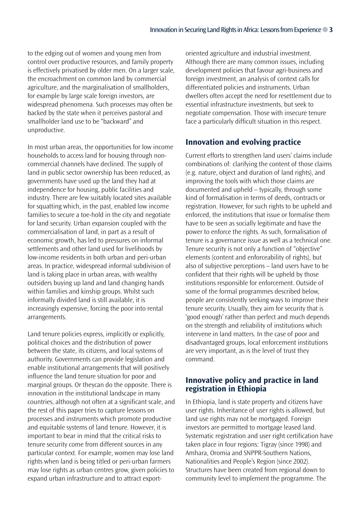to the edging out of women and young men from control over productive resources, and family property is effectively privatised by older men. On a larger scale, the encroachment on common land by commercial agriculture, and the marginalisation of smallholders, for example by large scale foreign investors, are widespread phenomena. Such processes may often be backed by the state when it perceives pastoral and smallholder land use to be "backward" and unproductive.

In most urban areas, the opportunities for low income households to access land for housing through noncommercial channels have declined. The supply of land in public sector ownership has been reduced, as governments have used up the land they had at independence for housing, public facilities and industry. There are few suitably located sites available for squatting which, in the past, enabled low income families to secure a toe-hold in the city and negotiate for land security. Urban expansion coupled with the commercialisation of land, in part as a result of economic growth, has led to pressures on informal settlements and other land used for livelihoods by low-income residents in both urban and peri-urban areas. In practice, widespread informal subdivision of land is taking place in urban areas, with wealthy outsiders buying up land and land changing hands within families and kinship groups. Whilst such informally divided land is still available, it is increasingly expensive, forcing the poor into rental arrangements.

Land tenure policies express, implicitly or explicitly, political choices and the distribution of power between the state, its citizens, and local systems of authority. Governments can provide legislation and enable institutional arrangements that will positively influence the land tenure situation for poor and marginal groups. Or theycan do the opposite. There is innovation in the institutional landscape in many countries, although not often at a significant scale, and the rest of this paper tries to capture lessons on processes and instruments which promote productive and equitable systems of land tenure. However, it is important to bear in mind that the critical risks to tenure security come from different sources in any particular context. For example, women may lose land rights when land is being titled or peri-urban farmers may lose rights as urban centres grow, given policies to expand urban infrastructure and to attract exportoriented agriculture and industrial investment. Although there are many common issues, including development policies that favour agri-business and foreign investment, an analysis of context calls for differentiated policies and instruments. Urban dwellers often accept the need for resettlement due to essential infrastructure investments, but seek to negotiate compensation. Those with insecure tenure face a particularly difficult situation in this respect.

# **Innovation and evolving practice**

Current efforts to strengthen land users' claims include combinations of: clarifying the content of those claims (e.g. nature, object and duration of land rights), and improving the tools with which those claims are documented and upheld – typically, through some kind of formalisation in terms of deeds, contracts or registration. However, for such rights to be upheld and enforced, the institutions that issue or formalise them have to be seen as socially legitimate and have the power to enforce the rights. As such, formalisation of tenure is a governance issue as well as a technical one. Tenure security is not only a function of "objective" elements (content and enforceability of rights), but also of subjective perceptions – land users have to be confident that their rights will be upheld by those institutions responsible for enforcement. Outside of some of the formal programmes described below, people are consistently seeking ways to improve their tenure security. Usually, they aim for security that is 'good enough' rather than perfect and much depends on the strength and reliability of institutions which intervene in land matters. In the case of poor and disadvantaged groups, local enforcement institutions are very important, as is the level of trust they command.

### **Innovative policy and practice in land registration in Ethiopia**

In Ethiopia, land is state property and citizens have user rights. Inheritance of user rights is allowed, but land use rights may not be mortgaged. Foreign investors are permitted to mortgage leased land. Systematic registration and user right certification have taken place in four regions: Tigray (since 1998) and Amhara, Oromia and SNPPR-Southern Nations, Nationalities and People's Region (since 2002). Structures have been created from regional down to community level to implement the programme. The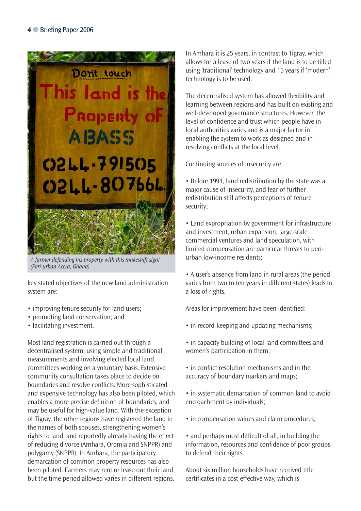

*A farmer defending his property with this makeshift sign! (Peri-urban Accra, Ghana)*

key stated objectives of the new land administration system are:

- improving tenure security for land users;
- promoting land conservation; and
- facilitating investment.

Most land registration is carried out through a decentralised system, using simple and traditional measurements and involving elected local land committees working on a voluntary basis. Extensive community consultation takes place to decide on boundaries and resolve conflicts. More sophisticated and expensive technology has also been piloted, which enables a more precise definition of boundaries, and may be useful for high-value land. With the exception of Tigray, the other regions have registered the land in the names of both spouses, strengthening women's rights to land, and reportedly already having the effect of reducing divorce (Amhara, Oromia and SNPPR) and polygamy (SNPPR). In Amhara, the participatory demarcation of common property resources has also been piloted. Farmers may rent or lease out their land, but the time period allowed varies in different regions.

In Amhara it is 25 years, in contrast to Tigray, which allows for a lease of two years if the land is to be tilled using 'traditional' technology and 15 years if 'modern' technology is to be used.

The decentralised system has allowed flexibility and learning between regions and has built on existing and well-developed governance structures. However, the level of confidence and trust which people have in local authorities varies and is a major factor in enabling the system to work as designed and in resolving conflicts at the local level.

Continuing sources of insecurity are:

• Before 1991, land redistribution by the state was a major cause of insecurity, and fear of further redistribution still affects perceptions of tenure security;

• Land expropriation by government for infrastructure and investment, urban expansion, large-scale commercial ventures and land speculation, with limited compensation are particular threats to periurban low-income residents;

• A user's absence from land in rural areas (the period varies from two to ten years in different states) leads to a loss of rights.

Areas for improvement have been identified:

- in record-keeping and updating mechanisms;
- in capacity building of local land committees and women's participation in them;
- in conflict resolution mechanisms and in the accuracy of boundary markers and maps;
- in systematic demarcation of common land to avoid encroachment by individuals;
- in compensation values and claim procedures;
- and perhaps most difficult of all, in building the information, resources and confidence of poor groups to defend their rights.

About six million households have received title certificates in a cost-effective way, which is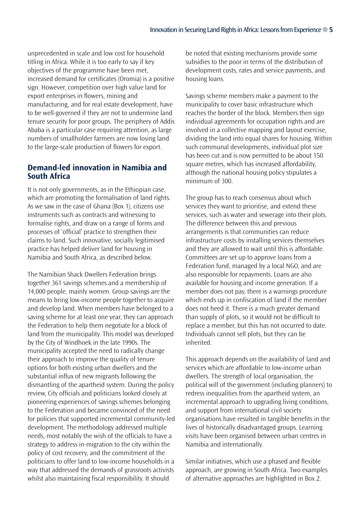unprecedented in scale and low cost for household titling in Africa. While it is too early to say if key objectives of the programme have been met, increased demand for certificates (Oromia) is a positive sign. However, competition over high value land for export enterprises in flowers, mining and manufacturing, and for real estate development, have to be well-governed if they are not to undermine land tenure security for poor groups. The periphery of Addis Ababa is a particular case requiring attention, as large numbers of smallholder farmers are now losing land to the large-scale production of flowers for export.

## **Demand-led innovation in Namibia and South Africa**

It is not only governments, as in the Ethiopian case, which are promoting the formalisation of land rights. As we saw in the case of Ghana (Box 1), citizens use instruments such as contracts and witnessing to formalise rights, and draw on a range of forms and processes of 'official' practice to strengthen their claims to land. Such innovative, socially legitimised practice has helped deliver land for housing in Namibia and South Africa, as described below.

The Namibian Shack Dwellers Federation brings together 361 savings schemes and a membership of 14,000 people, mainly women. Group savings are the means to bring low-income people together to acquire and develop land. When members have belonged to a saving scheme for at least one year, they can approach the Federation to help them negotiate for a block of land from the municipality. This model was developed by the City of Windhoek in the late 1990s. The municipality accepted the need to radically change their approach to improve the quality of tenure options for both existing urban dwellers and the substantial influx of new migrants following the dismantling of the apartheid system. During the policy review, City officials and politicians looked closely at pioneering experiences of savings schemes belonging to the Federation and became convinced of the need for policies that supported incremental community-led development. The methodology addressed multiple needs, most notably the wish of the officials to have a strategy to address in-migration to the city within the policy of cost recovery, and the commitment of the politicians to offer land to low-income households in a way that addressed the demands of grassroots activists whilst also maintaining fiscal responsibility. It should

be noted that existing mechanisms provide some subsidies to the poor in terms of the distribution of development costs, rates and service payments, and housing loans.

Savings scheme members make a payment to the municipality to cover basic infrastructure which reaches the border of the block. Members then sign individual agreements for occupation rights and are involved in a collective mapping and layout exercise, dividing the land into equal shares for housing. Within such communal developments, individual plot size has been cut and is now permitted to be about 150 square metres, which has increased affordability, although the national housing policy stipulates a minimum of 300.

The group has to reach consensus about which services they want to prioritise, and extend these services, such as water and sewerage into their plots. The difference between this and previous arrangements is that communities can reduce infrastructure costs by installing services themselves and they are allowed to wait until this is affordable. Committees are set up to approve loans from a Federation fund, managed by a local NGO, and are also responsible for repayments. Loans are also available for housing and income generation. If a member does not pay, there is a warnings procedure which ends up in confiscation of land if the member does not heed it. There is a much greater demand than supply of plots, so it would not be difficult to replace a member, but this has not occurred to date. Individuals cannot sell plots, but they can be inherited.

This approach depends on the availability of land and services which are affordable to low-income urban dwellers. The strength of local organisation, the political will of the government (including planners) to redress inequalities from the apartheid system, an incremental approach to upgrading living conditions, and support from international civil society organisations have resulted in tangible benefits in the lives of historically disadvantaged groups. Learning visits have been organised between urban centres in Namibia and internationally.

Similar initiatives, which use a phased and flexible approach, are growing in South Africa. Two examples of alternative approaches are highlighted in Box 2.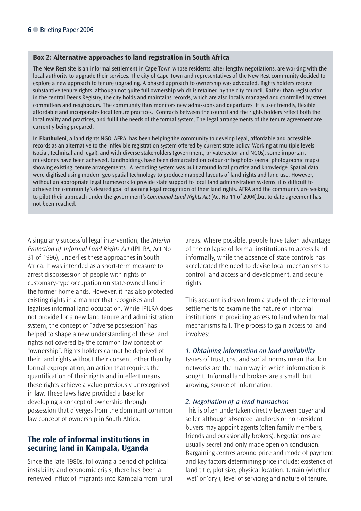### **Box 2: Alternative approaches to land registration in South Africa**

The **New Rest** site is an informal settlement in Cape Town whose residents, after lengthy negotiations, are working with the local authority to upgrade their services. The city of Cape Town and representatives of the New Rest community decided to explore a new approach to tenure upgrading. A phased approach to ownership was advocated. Rights holders receive substantive tenure rights, although not quite full ownership which is retained by the city council. Rather than registration in the central Deeds Registry, the city holds and maintains records, which are also locally managed and controlled by street committees and neighbours. The community thus monitors new admissions and departures. It is user friendly, flexible, affordable and incorporates local tenure practices. Contracts between the council and the rights holders reflect both the local reality and practices, and fulfil the needs of the formal system. The legal arrangements of the tenure agreement are currently being prepared.

In **Ekuthuleni**, a land rights NGO, AFRA, has been helping the community to develop legal, affordable and accessible records as an alternative to the inflexible registration system offered by current state policy. Working at multiple levels (social, technical and legal), and with diverse stakeholders (government, private sector and NGOs), some important milestones have been achieved. Landholdings have been demarcated on colour orthophotos (aerial photographic maps) showing existing tenure arrangements. A recording system was built around local practice and knowledge. Spatial data were digitised using modern geo-spatial technology to produce mapped layouts of land rights and land use. However, without an appropriate legal framework to provide state support to local land administration systems, it is difficult to achieve the community's desired goal of gaining legal recognition of their land rights. AFRA and the community are seeking to pilot their approach under the government's *Communal Land Rights Act* (Act No 11 of 2004),but to date agreement has not been reached.

A singularly successful legal intervention, the *Interim Protection of Informal Land Rights Act* (IPILRA, Act No 31 of 1996), underlies these approaches in South Africa. It was intended as a short-term measure to arrest dispossession of people with rights of customary-type occupation on state-owned land in the former homelands. However, it has also protected existing rights in a manner that recognises and legalises informal land occupation. While IPILRA does not provide for a new land tenure and administration system, the concept of "adverse possession" has helped to shape a new understanding of those land rights not covered by the common law concept of "ownership". Rights holders cannot be deprived of their land rights without their consent, other than by formal expropriation, an action that requires the quantification of their rights and in effect means these rights achieve a value previously unrecognised in law. These laws have provided a base for developing a concept of ownership through possession that diverges from the dominant common law concept of ownership in South Africa.

### **The role of informal institutions in securing land in Kampala, Uganda**

Since the late 1980s, following a period of political instability and economic crisis, there has been a renewed influx of migrants into Kampala from rural areas. Where possible, people have taken advantage of the collapse of formal institutions to access land informally, while the absence of state controls has accelerated the need to devise local mechanisms to control land access and development, and secure rights.

This account is drawn from a study of three informal settlements to examine the nature of informal institutions in providing access to land when formal mechanisms fail. The process to gain access to land involves:

### *1. Obtaining information on land availability*

Issues of trust, cost and social norms mean that kin networks are the main way in which information is sought. Informal land brokers are a small, but growing, source of information.

#### *2. Negotiation of a land transaction*

This is often undertaken directly between buyer and seller, although absentee landlords or non-resident buyers may appoint agents (often family members, friends and occasionally brokers). Negotiations are usually secret and only made open on conclusion. Bargaining centres around price and mode of payment and key factors determining price include: existence of land title, plot size, physical location, terrain (whether 'wet' or 'dry'), level of servicing and nature of tenure.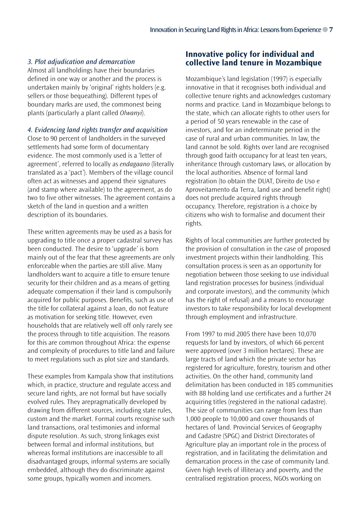### *3. Plot adjudication and demarcation*

Almost all landholdings have their boundaries defined in one way or another and the process is undertaken mainly by 'original' rights holders (e.g. sellers or those bequeathing). Different types of boundary marks are used, the commonest being plants (particularly a plant called *Olwanyi*).

*4. Evidencing land rights transfer and acquisition*

Close to 90 percent of landholders in the surveyed settlements had some form of documentary evidence. The most commonly used is a 'letter of agreement', referred to locally as *endagaano* (literally translated as a 'pact'). Members of the village council often act as witnesses and append their signatures (and stamp where available) to the agreement, as do two to five other witnesses. The agreement contains a sketch of the land in question and a written description of its boundaries.

These written agreements may be used as a basis for upgrading to title once a proper cadastral survey has been conducted. The desire to 'upgrade' is born mainly out of the fear that these agreements are only enforceable when the parties are still alive. Many landholders want to acquire a title to ensure tenure security for their children and as a means of getting adequate compensation if their land is compulsorily acquired for public purposes. Benefits, such as use of the title for collateral against a loan, do not feature as motivation for seeking title. However, even households that are relatively well off only rarely see the process through to title acquisition. The reasons for this are common throughout Africa: the expense and complexity of procedures to title land and failure to meet regulations such as plot size and standards.

These examples from Kampala show that institutions which, in practice, structure and regulate access and secure land rights, are not formal but have socially evolved rules. They arepragmatically developed by drawing from different sources, including state rules, custom and the market. Formal courts recognise such land transactions, oral testimonies and informal dispute resolution. As such, strong linkages exist between formal and informal institutions, but whereas formal institutions are inaccessible to all disadvantaged groups, informal systems are socially embedded, although they do discriminate against some groups, typically women and incomers.

### **Innovative policy for individual and collective land tenure in Mozambique**

Mozambique's land legislation (1997) is especially innovative in that it recognises both individual and collective tenure rights and acknowledges customary norms and practice. Land in Mozambique belongs to the state, which can allocate rights to other users for a period of 50 years renewable in the case of investors, and for an indeterminate period in the case of rural and urban communities. In law, the land cannot be sold. Rights over land are recognised through good faith occupancy for at least ten years, inheritance through customary laws, or allocation by the local authorities. Absence of formal land registration (to obtain the DUAT, Direito de Uso e Aproveitamento da Terra, land use and benefit right) does not preclude acquired rights through occupancy. Therefore, registration is a choice by citizens who wish to formalise and document their rights.

Rights of local communities are further protected by the provision of consultation in the case of proposed investment projects within their landholding. This consultation process is seen as an opportunity for negotiation between those seeking to use individual land registration processes for business (individual and corporate investors), and the community (which has the right of refusal) and a means to encourage investors to take responsibility for local development through employment and infrastructure.

From 1997 to mid 2005 there have been 10,070 requests for land by investors, of which 66 percent were approved (over 3 million hectares). These are large tracts of land which the private sector has registered for agriculture, forestry, tourism and other activities. On the other hand, community land delimitation has been conducted in 185 communities with 88 holding land use certificates and a further 24 acquiring titles (registered in the national cadastre). The size of communities can range from less than 1,000 people to 10,000 and cover thousands of hectares of land. Provincial Services of Geography and Cadastre (SPGC) and District Directorates of Agriculture play an important role in the process of registration, and in facilitating the delimitation and demarcation process in the case of community land. Given high levels of illiteracy and poverty, and the centralised registration process, NGOs working on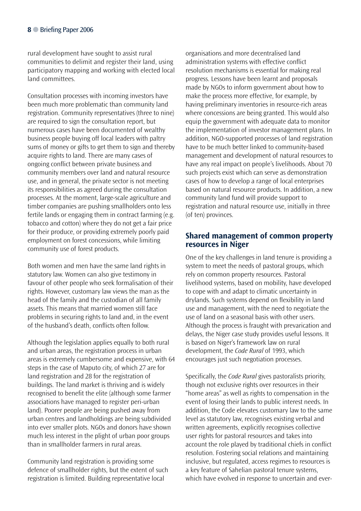rural development have sought to assist rural communities to delimit and register their land, using participatory mapping and working with elected local land committees.

Consultation processes with incoming investors have been much more problematic than community land registration. Community representatives (three to nine) are required to sign the consultation report, but numerous cases have been documented of wealthy business people buying off local leaders with paltry sums of money or gifts to get them to sign and thereby acquire rights to land. There are many cases of ongoing conflict between private business and community members over land and natural resource use, and in general, the private sector is not meeting its responsibilities as agreed during the consultation processes. At the moment, large-scale agriculture and timber companies are pushing smallholders onto less fertile lands or engaging them in contract farming (e.g. tobacco and cotton) where they do not get a fair price for their produce, or providing extremely poorly paid employment on forest concessions, while limiting community use of forest products.

Both women and men have the same land rights in statutory law. Women can also give testimony in favour of other people who seek formalisation of their rights. However, customary law views the man as the head of the family and the custodian of all family assets. This means that married women still face problems in securing rights to land and, in the event of the husband's death, conflicts often follow.

Although the legislation applies equally to both rural and urban areas, the registration process in urban areas is extremely cumbersome and expensive, with 64 steps in the case of Maputo city, of which 27 are for land registration and 28 for the registration of buildings. The land market is thriving and is widely recognised to benefit the elite (although some farmer associations have managed to register peri-urban land). Poorer people are being pushed away from urban centres and landholdings are being subdivided into ever smaller plots. NGOs and donors have shown much less interest in the plight of urban poor groups than in smallholder farmers in rural areas.

Community land registration is providing some defence of smallholder rights, but the extent of such registration is limited. Building representative local

organisations and more decentralised land administration systems with effective conflict resolution mechanisms is essential for making real progress. Lessons have been learnt and proposals made by NGOs to inform government about how to make the process more effective, for example, by having preliminary inventories in resource-rich areas where concessions are being granted. This would also equip the government with adequate data to monitor the implementation of investor management plans. In addition, NGO-supported processes of land registration have to be much better linked to community-based management and development of natural resources to have any real impact on people's livelihoods. About 70 such projects exist which can serve as demonstration cases of how to develop a range of local enterprises based on natural resource products. In addition, a new community land fund will provide support to registration and natural resource use, initially in three (of ten) provinces.

### **Shared management of common property resources in Niger**

One of the key challenges in land tenure is providing a system to meet the needs of pastoral groups, which rely on common property resources. Pastoral livelihood systems, based on mobility, have developed to cope with and adapt to climatic uncertainty in drylands. Such systems depend on flexibility in land use and management, with the need to negotiate the use of land on a seasonal basis with other users. Although the process is fraught with prevarication and delays, the Niger case study provides useful lessons. It is based on Niger's framework law on rural development, the *Code Rural* of 1993, which encourages just such negotiation processes.

Specifically, the *Code Rural* gives pastoralists priority, though not exclusive rights over resources in their "home areas" as well as rights to compensation in the event of losing their lands to public interest needs. In addition, the Code elevates customary law to the same level as statutory law, recognises existing verbal and written agreements, explicitly recognises collective user rights for pastoral resources and takes into account the role played by traditional chiefs in conflict resolution. Fostering social relations and maintaining inclusive, but regulated, access regimes to resources is a key feature of Sahelian pastoral tenure systems, which have evolved in response to uncertain and ever-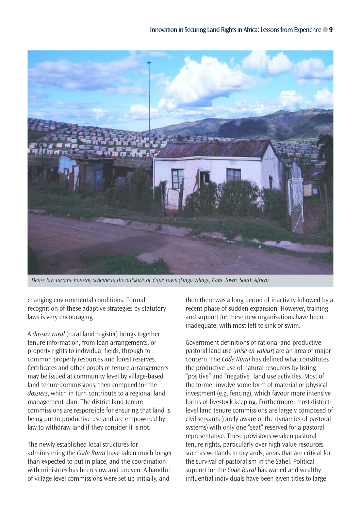

*Dense low income housing scheme in the outskirts of Cape Town (Fingo Village, Cape Town, South Africa)*

changing environmental conditions. Formal recognition of these adaptive strategies by statutory laws is very encouraging.

A *dossier rural* (rural land register) brings together tenure information, from loan arrangements, or property rights to individual fields, through to common property resources and forest reserves. Certificates and other proofs of tenure arrangements may be issued at community level by village-based land tenure commissions, then compiled for the *dossiers*, which in turn contribute to a regional land management plan. The district land tenure commissions are responsible for ensuring that land is being put to productive use and are empowered by law to withdraw land if they consider it is not.

The newly established local structures for administering the *Code Rural* have taken much longer than expected to put in place, and the coordination with ministries has been slow and uneven. A handful of village level commissions were set up initially, and

then there was a long period of inactivity followed by a recent phase of sudden expansion. However, training and support for these new organisations have been inadequate, with most left to sink or swim.

Government definitions of rational and productive pastoral land use (*mise en valeur*) are an area of major concern. The *Code Rural* has defined what constitutes the productive use of natural resources by listing "positive" and "negative" land use activities. Most of the former involve some form of material or physical investment (e.g. fencing), which favour more intensive forms of livestock keeping. Furthermore, most districtlevel land tenure commissions are largely composed of civil servants (rarely aware of the dynamics of pastoral systems) with only one "seat" reserved for a pastoral representative. These provisions weaken pastoral tenure rights, particularly over high-value resources such as wetlands in drylands, areas that are critical for the survival of pastoralism in the Sahel. Political support for the *Code Rural* has waned and wealthy influential individuals have been given titles to large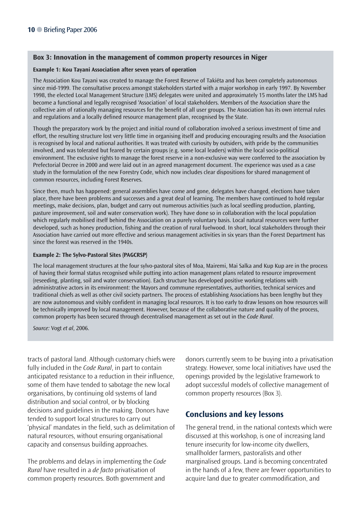#### **Box 3: Innovation in the management of common property resources in Niger**

#### **Example 1: Kou Tayani Association after seven years of operation**

The Association Kou Tayani was created to manage the Forest Reserve of Takiéta and has been completely autonomous since mid-1999. The consultative process amongst stakeholders started with a major workshop in early 1997. By November 1998, the elected Local Management Structure (LMS) delegates were united and approximately 15 months later the LMS had become a functional and legally recognised 'Association' of local stakeholders. Members of the Association share the collective aim of rationally managing resources for the benefit of all user groups. The Association has its own internal rules and regulations and a locally defined resource management plan, recognised by the State.

Though the preparatory work by the project and initial round of collaboration involved a serious investment of time and effort, the resulting structure lost very little time in organising itself and producing encouraging results and the Association is recognised by local and national authorities. It was treated with curiosity by outsiders, with pride by the communities involved, and was tolerated but feared by certain groups (e.g. some local leaders) within the local socio-political environment. The exclusive rights to manage the forest reserve in a non-exclusive way were conferred to the association by Prefectorial Decree in 2000 and were laid out in an agreed management document. The experience was used as a case study in the formulation of the new Forestry Code, which now includes clear dispositions for shared management of common resources, including Forest Reserves.

Since then, much has happened: general assemblies have come and gone, delegates have changed, elections have taken place, there have been problems and successes and a great deal of learning. The members have continued to hold regular meetings, make decisions, plan, budget and carry out numerous activities (such as local seedling production, planting, pasture improvement, soil and water conservation work). They have done so in collaboration with the local population which regularly mobilised itself behind the Association on a purely voluntary basis. Local natural resources were further developed, such as honey production, fishing and the creation of rural fuelwood. In short, local stakeholders through their Association have carried out more effective and serious management activities in six years than the Forest Department has since the forest was reserved in the 1940s.

#### **Example 2: The Sylvo-Pastoral Sites (PAGCRSP)**

The local management structures at the four sylvo-pastoral sites of Moa, Mairemi, Mai Salka and Kup Kup are in the process of having their formal status recognised while putting into action management plans related to resource improvement (reseeding, planting, soil and water conservation). Each structure has developed positive working relations with administrative actors in its environment: the Mayors and commune representatives, authorities, technical services and traditional chiefs as well as other civil society partners. The process of establishing Associations has been lengthy but they are now autonomous and visibly confident in managing local resources. It is too early to draw lessons on how resources will be technically improved by local management. However, because of the collaborative nature and quality of the process, common property has been secured through decentralised management as set out in the *Code Rural*.

*Source:* Vogt *et al*, 2006.

tracts of pastoral land. Although customary chiefs were fully included in the *Code Rural*, in part to contain anticipated resistance to a reduction in their influence, some of them have tended to sabotage the new local organisations, by continuing old systems of land distribution and social control, or by blocking decisions and guidelines in the making. Donors have tended to support local structures to carry out 'physical' mandates in the field, such as delimitation of natural resources, without ensuring organisational capacity and consensus building approaches.

The problems and delays in implementing the *Code Rural* have resulted in a *de facto* privatisation of common property resources. Both government and

donors currently seem to be buying into a privatisation strategy. However, some local initiatives have used the openings provided by the legislative framework to adopt successful models of collective management of common property resources (Box 3).

### **Conclusions and key lessons**

The general trend, in the national contexts which were discussed at this workshop, is one of increasing land tenure insecurity for low-income city dwellers, smallholder farmers, pastoralists and other marginalised groups. Land is becoming concentrated in the hands of a few, there are fewer opportunities to acquire land due to greater commodification, and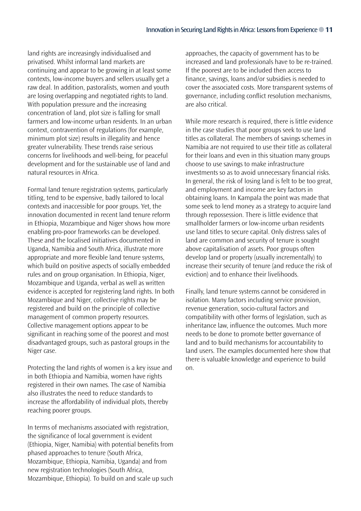land rights are increasingly individualised and privatised. Whilst informal land markets are continuing and appear to be growing in at least some contexts, low-income buyers and sellers usually get a raw deal. In addition, pastoralists, women and youth are losing overlapping and negotiated rights to land. With population pressure and the increasing concentration of land, plot size is falling for small farmers and low-income urban residents. In an urban context, contravention of regulations (for example, minimum plot size) results in illegality and hence greater vulnerability. These trends raise serious concerns for livelihoods and well-being, for peaceful development and for the sustainable use of land and natural resources in Africa.

Formal land tenure registration systems, particularly titling, tend to be expensive, badly tailored to local contexts and inaccessible for poor groups. Yet, the innovation documented in recent land tenure reform in Ethiopia, Mozambique and Niger shows how more enabling pro-poor frameworks can be developed. These and the localised initiatives documented in Uganda, Namibia and South Africa, illustrate more appropriate and more flexible land tenure systems, which build on positive aspects of socially embedded rules and on group organisation. In Ethiopia, Niger, Mozambique and Uganda, verbal as well as written evidence is accepted for registering land rights. In both Mozambique and Niger, collective rights may be registered and build on the principle of collective management of common property resources. Collective management options appear to be significant in reaching some of the poorest and most disadvantaged groups, such as pastoral groups in the Niger case.

Protecting the land rights of women is a key issue and in both Ethiopia and Namibia, women have rights registered in their own names. The case of Namibia also illustrates the need to reduce standards to increase the affordability of individual plots, thereby reaching poorer groups.

In terms of mechanisms associated with registration, the significance of local government is evident (Ethiopia, Niger, Namibia) with potential benefits from phased approaches to tenure (South Africa, Mozambique, Ethiopia, Namibia, Uganda) and from new registration technologies (South Africa, Mozambique, Ethiopia). To build on and scale up such approaches, the capacity of government has to be increased and land professionals have to be re-trained. If the poorest are to be included then access to finance, savings, loans and/or subsidies is needed to cover the associated costs. More transparent systems of governance, including conflict resolution mechanisms, are also critical.

While more research is required, there is little evidence in the case studies that poor groups seek to use land titles as collateral. The members of savings schemes in Namibia are not required to use their title as collateral for their loans and even in this situation many groups choose to use savings to make infrastructure investments so as to avoid unnecessary financial risks. In general, the risk of losing land is felt to be too great, and employment and income are key factors in obtaining loans. In Kampala the point was made that some seek to lend money as a strategy to acquire land through repossession. There is little evidence that smallholder farmers or low-income urban residents use land titles to secure capital. Only distress sales of land are common and security of tenure is sought above capitalisation of assets. Poor groups often develop land or property (usually incrementally) to increase their security of tenure (and reduce the risk of eviction) and to enhance their livelihoods.

Finally, land tenure systems cannot be considered in isolation. Many factors including service provision, revenue generation, socio-cultural factors and compatibility with other forms of legislation, such as inheritance law, influence the outcomes. Much more needs to be done to promote better governance of land and to build mechanisms for accountability to land users. The examples documented here show that there is valuable knowledge and experience to build on.